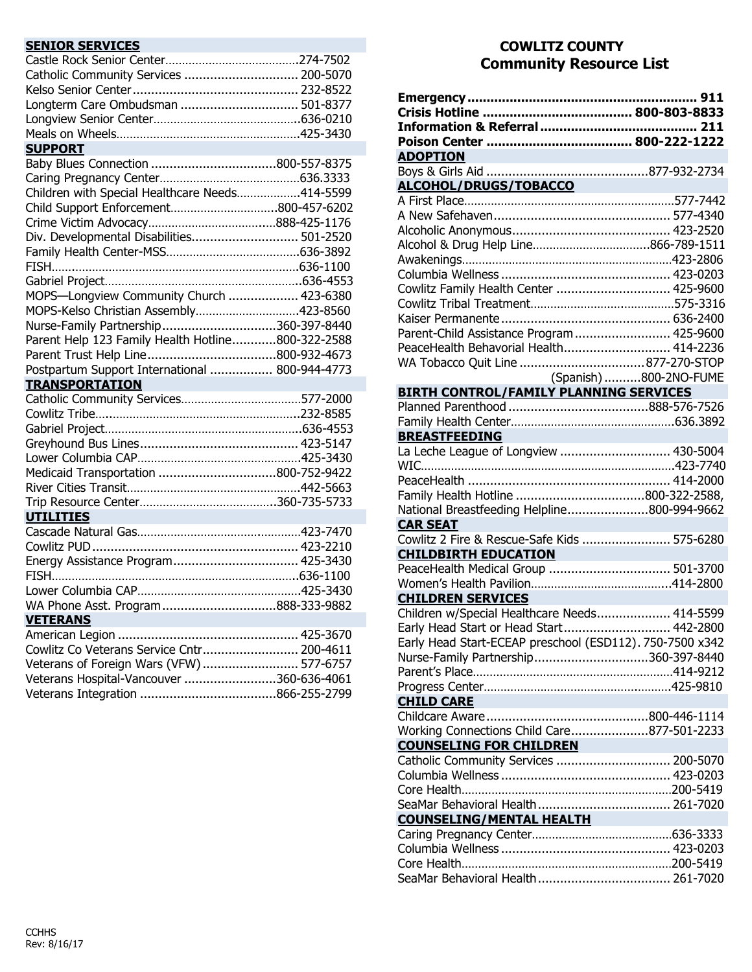| <b>SENIOR SERVICES</b>                                                                                                                                                  |  |
|-------------------------------------------------------------------------------------------------------------------------------------------------------------------------|--|
|                                                                                                                                                                         |  |
| Catholic Community Services  200-5070                                                                                                                                   |  |
|                                                                                                                                                                         |  |
| Longterm Care Ombudsman  501-8377                                                                                                                                       |  |
|                                                                                                                                                                         |  |
|                                                                                                                                                                         |  |
| <b>SUPPORT</b>                                                                                                                                                          |  |
|                                                                                                                                                                         |  |
|                                                                                                                                                                         |  |
| Children with Special Healthcare Needs414-5599                                                                                                                          |  |
| Child Support Enforcement800-457-6202                                                                                                                                   |  |
|                                                                                                                                                                         |  |
|                                                                                                                                                                         |  |
| Div. Developmental Disabilities 501-2520                                                                                                                                |  |
|                                                                                                                                                                         |  |
|                                                                                                                                                                         |  |
|                                                                                                                                                                         |  |
| MOPS-Longview Community Church  423-6380                                                                                                                                |  |
| MOPS-Kelso Christian Assembly423-8560                                                                                                                                   |  |
| Nurse-Family Partnership360-397-8440                                                                                                                                    |  |
| Parent Help 123 Family Health Hotline800-322-2588                                                                                                                       |  |
|                                                                                                                                                                         |  |
| Postpartum Support International  800-944-4773                                                                                                                          |  |
| <b>TRANSPORTATION</b>                                                                                                                                                   |  |
|                                                                                                                                                                         |  |
|                                                                                                                                                                         |  |
|                                                                                                                                                                         |  |
|                                                                                                                                                                         |  |
|                                                                                                                                                                         |  |
| Medicaid Transportation 800-752-9422                                                                                                                                    |  |
|                                                                                                                                                                         |  |
|                                                                                                                                                                         |  |
|                                                                                                                                                                         |  |
| <b>UTILITIES</b>                                                                                                                                                        |  |
|                                                                                                                                                                         |  |
|                                                                                                                                                                         |  |
| Energy Assistance Program 425-3430                                                                                                                                      |  |
|                                                                                                                                                                         |  |
|                                                                                                                                                                         |  |
|                                                                                                                                                                         |  |
| <b>VETERANS</b>                                                                                                                                                         |  |
|                                                                                                                                                                         |  |
|                                                                                                                                                                         |  |
|                                                                                                                                                                         |  |
|                                                                                                                                                                         |  |
|                                                                                                                                                                         |  |
| WA Phone Asst. Program888-333-9882<br>Cowlitz Co Veterans Service Cntr 200-4611<br>Veterans of Foreign Wars (VFW)  577-6757<br>Veterans Hospital-Vancouver 360-636-4061 |  |

## **COWLITZ COUNTY Community Resource List**

|                                                          | 911                    |
|----------------------------------------------------------|------------------------|
|                                                          |                        |
|                                                          |                        |
|                                                          |                        |
| <b>ADOPTION</b>                                          |                        |
|                                                          |                        |
| <u>ALCOHOL/DRUGS/TOBACCO</u>                             |                        |
|                                                          |                        |
|                                                          |                        |
|                                                          |                        |
|                                                          |                        |
|                                                          |                        |
|                                                          |                        |
| Cowlitz Family Health Center  425-9600                   |                        |
|                                                          |                        |
|                                                          |                        |
| Parent-Child Assistance Program 425-9600                 |                        |
| PeaceHealth Behavorial Health 414-2236                   |                        |
|                                                          |                        |
|                                                          | (Spanish) 800-2NO-FUME |
| <b>BIRTH CONTROL/FAMILY PLANNING SERVICES</b>            |                        |
|                                                          |                        |
|                                                          |                        |
| <b>BREASTFEEDING</b>                                     |                        |
| La Leche League of Longview  430-5004                    |                        |
|                                                          |                        |
|                                                          |                        |
|                                                          |                        |
| National Breastfeeding Helpline800-994-9662              |                        |
| <b>CAR SEAT</b>                                          |                        |
| Cowlitz 2 Fire & Rescue-Safe Kids  575-6280              |                        |
| <b>CHILDBIRTH EDUCATION</b>                              |                        |
| PeaceHealth Medical Group  501-3700                      |                        |
|                                                          |                        |
| <b>CHILDREN SERVICES</b>                                 |                        |
| Children w/Special Healthcare Needs 414-5599             |                        |
| Early Head Start or Head Start 442-2800                  |                        |
| Early Head Start-ECEAP preschool (ESD112). 750-7500 x342 |                        |
| Nurse-Family Partnership360-397-8440                     |                        |
|                                                          |                        |
|                                                          |                        |
| <b>CHILD CARE</b>                                        |                        |
|                                                          |                        |
| Working Connections Child Care877-501-2233               |                        |
| <b>COUNSELING FOR CHILDREN</b>                           |                        |
| Catholic Community Services  200-5070                    |                        |
|                                                          |                        |
|                                                          |                        |
|                                                          |                        |
| <b>COUNSELING/MENTAL HEALTH</b>                          |                        |
|                                                          |                        |
|                                                          |                        |
|                                                          |                        |
|                                                          |                        |